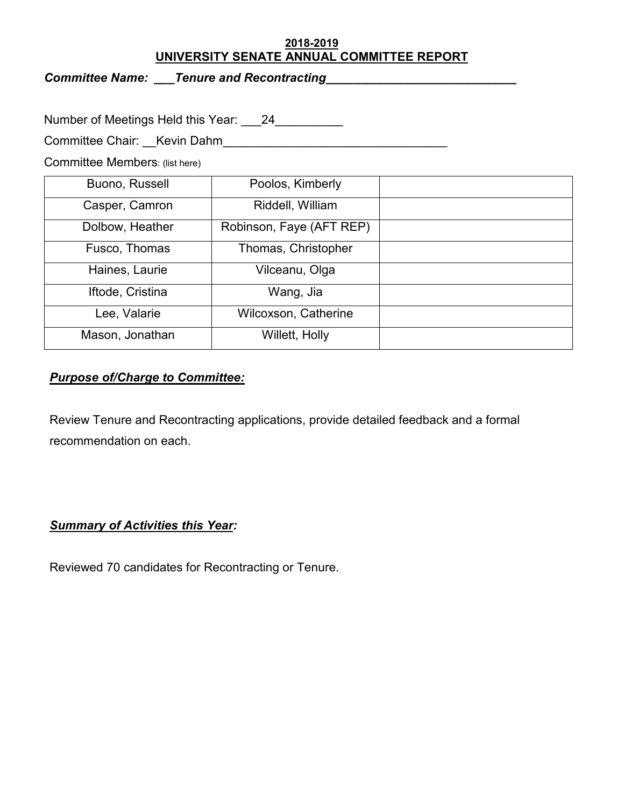#### **2018-2019 UNIVERSITY SENATE ANNUAL COMMITTEE REPORT**

*Committee Name: \_\_\_Tenure and Recontracting\_\_\_\_\_\_\_\_\_\_\_\_\_\_\_\_\_\_\_\_\_\_\_\_\_\_\_\_* 

Number of Meetings Held this Year: \_\_\_24\_\_\_\_\_\_\_\_\_\_

Committee Chair: \_\_Kevin Dahm\_\_\_\_\_\_\_\_\_\_\_\_\_\_\_\_\_\_\_\_\_\_\_\_\_\_\_\_\_\_\_\_\_

Committee Members: (list here)

| Buono, Russell   | Poolos, Kimberly            |  |
|------------------|-----------------------------|--|
| Casper, Camron   | Riddell, William            |  |
| Dolbow, Heather  | Robinson, Faye (AFT REP)    |  |
| Fusco, Thomas    | Thomas, Christopher         |  |
| Haines, Laurie   | Vilceanu, Olga              |  |
| Iftode, Cristina | Wang, Jia                   |  |
| Lee, Valarie     | <b>Wilcoxson, Catherine</b> |  |
| Mason, Jonathan  | Willett, Holly              |  |

### *Purpose of/Charge to Committee:*

Review Tenure and Recontracting applications, provide detailed feedback and a formal recommendation on each.

# *Summary of Activities this Year:*

Reviewed 70 candidates for Recontracting or Tenure.